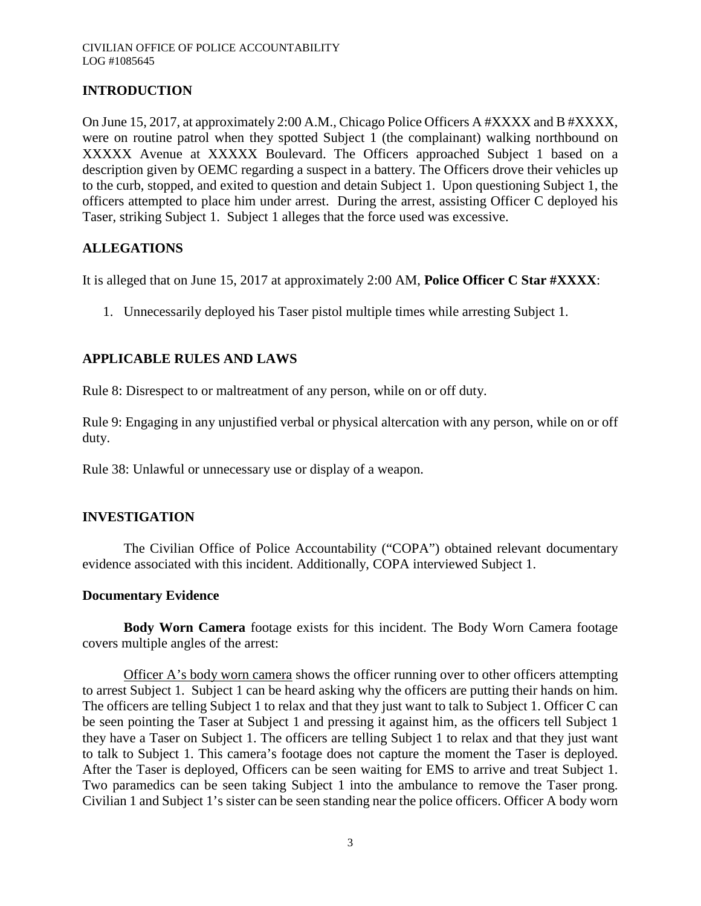# **INTRODUCTION**

On June 15, 2017, at approximately 2:00 A.M., Chicago Police Officers A #XXXX and B #XXXX, were on routine patrol when they spotted Subject 1 (the complainant) walking northbound on XXXXX Avenue at XXXXX Boulevard. The Officers approached Subject 1 based on a description given by OEMC regarding a suspect in a battery. The Officers drove their vehicles up to the curb, stopped, and exited to question and detain Subject 1. Upon questioning Subject 1, the officers attempted to place him under arrest. During the arrest, assisting Officer C deployed his Taser, striking Subject 1. Subject 1 alleges that the force used was excessive.

## **ALLEGATIONS**

It is alleged that on June 15, 2017 at approximately 2:00 AM, **Police Officer C Star #XXXX**:

1. Unnecessarily deployed his Taser pistol multiple times while arresting Subject 1.

# **APPLICABLE RULES AND LAWS**

Rule 8: Disrespect to or maltreatment of any person, while on or off duty.

Rule 9: Engaging in any unjustified verbal or physical altercation with any person, while on or off duty.

Rule 38: Unlawful or unnecessary use or display of a weapon.

## **INVESTIGATION**

The Civilian Office of Police Accountability ("COPA") obtained relevant documentary evidence associated with this incident. Additionally, COPA interviewed Subject 1.

## **Documentary Evidence**

**Body Worn Camera** footage exists for this incident. The Body Worn Camera footage covers multiple angles of the arrest:

Officer A's body worn camera shows the officer running over to other officers attempting to arrest Subject 1. Subject 1 can be heard asking why the officers are putting their hands on him. The officers are telling Subject 1 to relax and that they just want to talk to Subject 1. Officer C can be seen pointing the Taser at Subject 1 and pressing it against him, as the officers tell Subject 1 they have a Taser on Subject 1. The officers are telling Subject 1 to relax and that they just want to talk to Subject 1. This camera's footage does not capture the moment the Taser is deployed. After the Taser is deployed, Officers can be seen waiting for EMS to arrive and treat Subject 1. Two paramedics can be seen taking Subject 1 into the ambulance to remove the Taser prong. Civilian 1 and Subject 1's sister can be seen standing near the police officers. Officer A body worn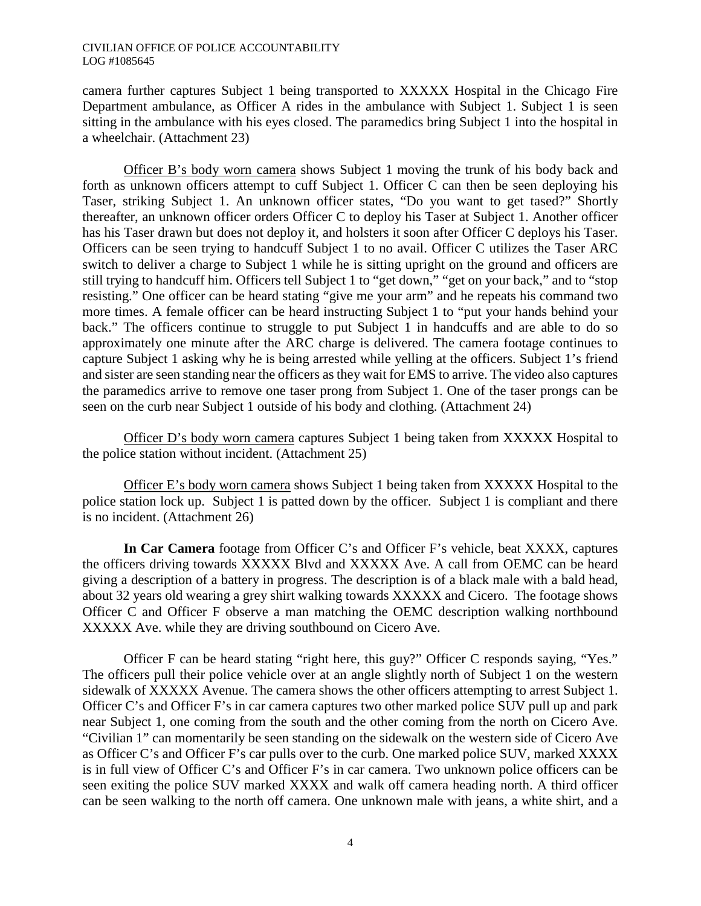camera further captures Subject 1 being transported to XXXXX Hospital in the Chicago Fire Department ambulance, as Officer A rides in the ambulance with Subject 1. Subject 1 is seen sitting in the ambulance with his eyes closed. The paramedics bring Subject 1 into the hospital in a wheelchair. (Attachment 23)

Officer B's body worn camera shows Subject 1 moving the trunk of his body back and forth as unknown officers attempt to cuff Subject 1. Officer C can then be seen deploying his Taser, striking Subject 1. An unknown officer states, "Do you want to get tased?" Shortly thereafter, an unknown officer orders Officer C to deploy his Taser at Subject 1. Another officer has his Taser drawn but does not deploy it, and holsters it soon after Officer C deploys his Taser. Officers can be seen trying to handcuff Subject 1 to no avail. Officer C utilizes the Taser ARC switch to deliver a charge to Subject 1 while he is sitting upright on the ground and officers are still trying to handcuff him. Officers tell Subject 1 to "get down," "get on your back," and to "stop resisting." One officer can be heard stating "give me your arm" and he repeats his command two more times. A female officer can be heard instructing Subject 1 to "put your hands behind your back." The officers continue to struggle to put Subject 1 in handcuffs and are able to do so approximately one minute after the ARC charge is delivered. The camera footage continues to capture Subject 1 asking why he is being arrested while yelling at the officers. Subject 1's friend and sister are seen standing near the officers as they wait for EMS to arrive. The video also captures the paramedics arrive to remove one taser prong from Subject 1. One of the taser prongs can be seen on the curb near Subject 1 outside of his body and clothing. (Attachment 24)

Officer D's body worn camera captures Subject 1 being taken from XXXXX Hospital to the police station without incident. (Attachment 25)

Officer E's body worn camera shows Subject 1 being taken from XXXXX Hospital to the police station lock up. Subject 1 is patted down by the officer. Subject 1 is compliant and there is no incident. (Attachment 26)

In Car Camera footage from Officer C's and Officer F's vehicle, beat XXXX, captures the officers driving towards XXXXX Blvd and XXXXX Ave. A call from OEMC can be heard giving a description of a battery in progress. The description is of a black male with a bald head, about 32 years old wearing a grey shirt walking towards XXXXX and Cicero. The footage shows Officer C and Officer F observe a man matching the OEMC description walking northbound XXXXX Ave. while they are driving southbound on Cicero Ave.

Officer F can be heard stating "right here, this guy?" Officer C responds saying, "Yes." The officers pull their police vehicle over at an angle slightly north of Subject 1 on the western sidewalk of XXXXX Avenue. The camera shows the other officers attempting to arrest Subject 1. Officer C's and Officer F's in car camera captures two other marked police SUV pull up and park near Subject 1, one coming from the south and the other coming from the north on Cicero Ave. "Civilian 1" can momentarily be seen standing on the sidewalk on the western side of Cicero Ave as Officer C's and Officer F's car pulls over to the curb. One marked police SUV, marked XXXX is in full view of Officer C's and Officer F's in car camera. Two unknown police officers can be seen exiting the police SUV marked XXXX and walk off camera heading north. A third officer can be seen walking to the north off camera. One unknown male with jeans, a white shirt, and a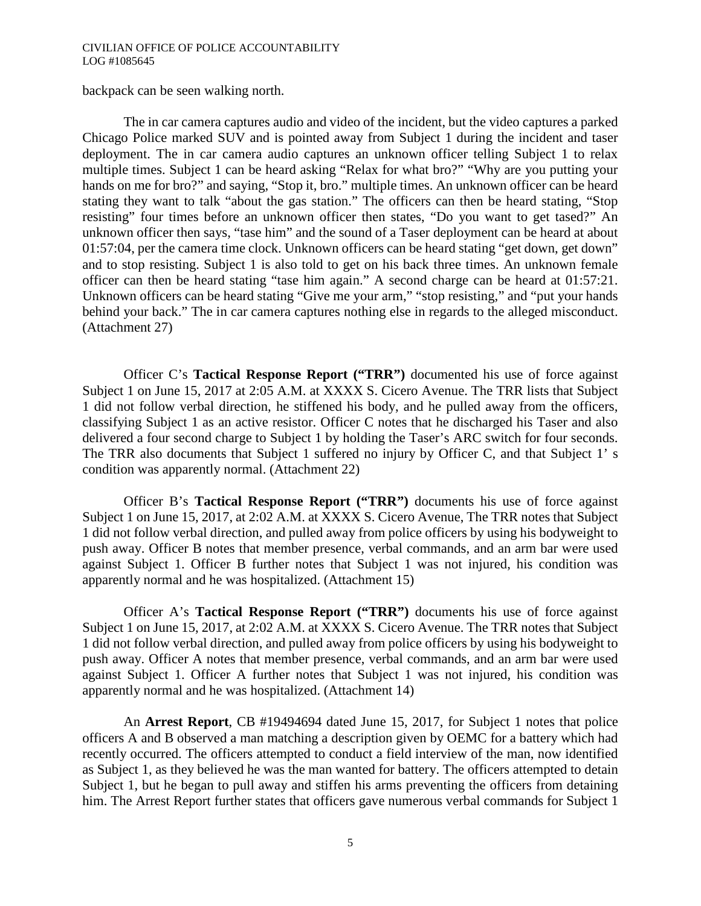backpack can be seen walking north.

The in car camera captures audio and video of the incident, but the video captures a parked Chicago Police marked SUV and is pointed away from Subject 1 during the incident and taser deployment. The in car camera audio captures an unknown officer telling Subject 1 to relax multiple times. Subject 1 can be heard asking "Relax for what bro?" "Why are you putting your hands on me for bro?" and saying, "Stop it, bro." multiple times. An unknown officer can be heard stating they want to talk "about the gas station." The officers can then be heard stating, "Stop resisting" four times before an unknown officer then states, "Do you want to get tased?" An unknown officer then says, "tase him" and the sound of a Taser deployment can be heard at about 01:57:04, per the camera time clock. Unknown officers can be heard stating "get down, get down" and to stop resisting. Subject 1 is also told to get on his back three times. An unknown female officer can then be heard stating "tase him again." A second charge can be heard at 01:57:21. Unknown officers can be heard stating "Give me your arm," "stop resisting," and "put your hands behind your back." The in car camera captures nothing else in regards to the alleged misconduct. (Attachment 27)

Officer C's **Tactical Response Report ("TRR")** documented his use of force against Subject 1 on June 15, 2017 at 2:05 A.M. at XXXX S. Cicero Avenue. The TRR lists that Subject 1 did not follow verbal direction, he stiffened his body, and he pulled away from the officers, classifying Subject 1 as an active resistor. Officer C notes that he discharged his Taser and also delivered a four second charge to Subject 1 by holding the Taser's ARC switch for four seconds. The TRR also documents that Subject 1 suffered no injury by Officer C, and that Subject 1' s condition was apparently normal. (Attachment 22)

Officer B's **Tactical Response Report ("TRR")** documents his use of force against Subject 1 on June 15, 2017, at 2:02 A.M. at XXXX S. Cicero Avenue, The TRR notes that Subject 1 did not follow verbal direction, and pulled away from police officers by using his bodyweight to push away. Officer B notes that member presence, verbal commands, and an arm bar were used against Subject 1. Officer B further notes that Subject 1 was not injured, his condition was apparently normal and he was hospitalized. (Attachment 15)

Officer A's **Tactical Response Report ("TRR")** documents his use of force against Subject 1 on June 15, 2017, at 2:02 A.M. at XXXX S. Cicero Avenue. The TRR notes that Subject 1 did not follow verbal direction, and pulled away from police officers by using his bodyweight to push away. Officer A notes that member presence, verbal commands, and an arm bar were used against Subject 1. Officer A further notes that Subject 1 was not injured, his condition was apparently normal and he was hospitalized. (Attachment 14)

An **Arrest Report**, CB #19494694 dated June 15, 2017, for Subject 1 notes that police officers A and B observed a man matching a description given by OEMC for a battery which had recently occurred. The officers attempted to conduct a field interview of the man, now identified as Subject 1, as they believed he was the man wanted for battery. The officers attempted to detain Subject 1, but he began to pull away and stiffen his arms preventing the officers from detaining him. The Arrest Report further states that officers gave numerous verbal commands for Subject 1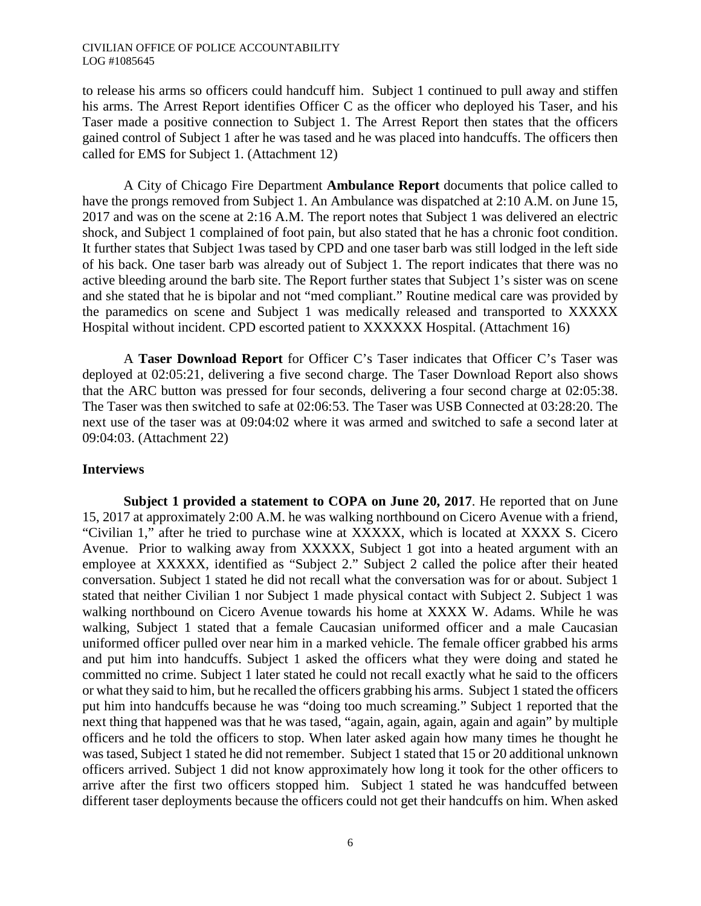to release his arms so officers could handcuff him. Subject 1 continued to pull away and stiffen his arms. The Arrest Report identifies Officer C as the officer who deployed his Taser, and his Taser made a positive connection to Subject 1. The Arrest Report then states that the officers gained control of Subject 1 after he was tased and he was placed into handcuffs. The officers then called for EMS for Subject 1. (Attachment 12)

A City of Chicago Fire Department **Ambulance Report** documents that police called to have the prongs removed from Subject 1. An Ambulance was dispatched at 2:10 A.M. on June 15, 2017 and was on the scene at 2:16 A.M. The report notes that Subject 1 was delivered an electric shock, and Subject 1 complained of foot pain, but also stated that he has a chronic foot condition. It further states that Subject 1was tased by CPD and one taser barb was still lodged in the left side of his back. One taser barb was already out of Subject 1. The report indicates that there was no active bleeding around the barb site. The Report further states that Subject 1's sister was on scene and she stated that he is bipolar and not "med compliant." Routine medical care was provided by the paramedics on scene and Subject 1 was medically released and transported to XXXXX Hospital without incident. CPD escorted patient to XXXXXX Hospital. (Attachment 16)

A **Taser Download Report** for Officer C's Taser indicates that Officer C's Taser was deployed at 02:05:21, delivering a five second charge. The Taser Download Report also shows that the ARC button was pressed for four seconds, delivering a four second charge at 02:05:38. The Taser was then switched to safe at 02:06:53. The Taser was USB Connected at 03:28:20. The next use of the taser was at 09:04:02 where it was armed and switched to safe a second later at 09:04:03. (Attachment 22)

### **Interviews**

**Subject 1 provided a statement to COPA on June 20, 2017**. He reported that on June 15, 2017 at approximately 2:00 A.M. he was walking northbound on Cicero Avenue with a friend, "Civilian 1," after he tried to purchase wine at XXXXX, which is located at XXXX S. Cicero Avenue. Prior to walking away from XXXXX, Subject 1 got into a heated argument with an employee at XXXXX, identified as "Subject 2." Subject 2 called the police after their heated conversation. Subject 1 stated he did not recall what the conversation was for or about. Subject 1 stated that neither Civilian 1 nor Subject 1 made physical contact with Subject 2. Subject 1 was walking northbound on Cicero Avenue towards his home at XXXX W. Adams. While he was walking, Subject 1 stated that a female Caucasian uniformed officer and a male Caucasian uniformed officer pulled over near him in a marked vehicle. The female officer grabbed his arms and put him into handcuffs. Subject 1 asked the officers what they were doing and stated he committed no crime. Subject 1 later stated he could not recall exactly what he said to the officers or what they said to him, but he recalled the officers grabbing his arms. Subject 1 stated the officers put him into handcuffs because he was "doing too much screaming." Subject 1 reported that the next thing that happened was that he was tased, "again, again, again, again and again" by multiple officers and he told the officers to stop. When later asked again how many times he thought he was tased, Subject 1 stated he did not remember. Subject 1 stated that 15 or 20 additional unknown officers arrived. Subject 1 did not know approximately how long it took for the other officers to arrive after the first two officers stopped him. Subject 1 stated he was handcuffed between different taser deployments because the officers could not get their handcuffs on him. When asked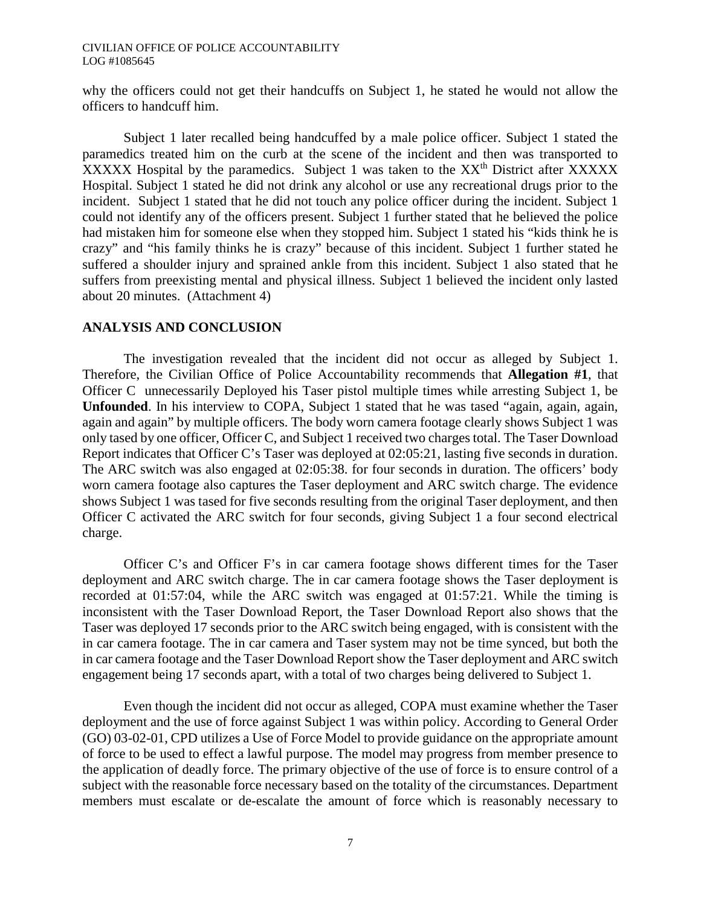why the officers could not get their handcuffs on Subject 1, he stated he would not allow the officers to handcuff him.

Subject 1 later recalled being handcuffed by a male police officer. Subject 1 stated the paramedics treated him on the curb at the scene of the incident and then was transported to XXXXX Hospital by the paramedics. Subject 1 was taken to the XX<sup>th</sup> District after XXXXX Hospital. Subject 1 stated he did not drink any alcohol or use any recreational drugs prior to the incident. Subject 1 stated that he did not touch any police officer during the incident. Subject 1 could not identify any of the officers present. Subject 1 further stated that he believed the police had mistaken him for someone else when they stopped him. Subject 1 stated his "kids think he is crazy" and "his family thinks he is crazy" because of this incident. Subject 1 further stated he suffered a shoulder injury and sprained ankle from this incident. Subject 1 also stated that he suffers from preexisting mental and physical illness. Subject 1 believed the incident only lasted about 20 minutes. (Attachment 4)

### **ANALYSIS AND CONCLUSION**

The investigation revealed that the incident did not occur as alleged by Subject 1. Therefore, the Civilian Office of Police Accountability recommends that **Allegation #1**, that Officer C unnecessarily Deployed his Taser pistol multiple times while arresting Subject 1, be **Unfounded**. In his interview to COPA, Subject 1 stated that he was tased "again, again, again, again and again" by multiple officers. The body worn camera footage clearly shows Subject 1 was only tased by one officer, Officer C, and Subject 1 received two charges total. The Taser Download Report indicates that Officer C's Taser was deployed at 02:05:21, lasting five seconds in duration. The ARC switch was also engaged at 02:05:38. for four seconds in duration. The officers' body worn camera footage also captures the Taser deployment and ARC switch charge. The evidence shows Subject 1 was tased for five seconds resulting from the original Taser deployment, and then Officer C activated the ARC switch for four seconds, giving Subject 1 a four second electrical charge.

Officer C's and Officer F's in car camera footage shows different times for the Taser deployment and ARC switch charge. The in car camera footage shows the Taser deployment is recorded at 01:57:04, while the ARC switch was engaged at 01:57:21. While the timing is inconsistent with the Taser Download Report, the Taser Download Report also shows that the Taser was deployed 17 seconds prior to the ARC switch being engaged, with is consistent with the in car camera footage. The in car camera and Taser system may not be time synced, but both the in car camera footage and the Taser Download Report show the Taser deployment and ARC switch engagement being 17 seconds apart, with a total of two charges being delivered to Subject 1.

Even though the incident did not occur as alleged, COPA must examine whether the Taser deployment and the use of force against Subject 1 was within policy. According to General Order (GO) 03-02-01, CPD utilizes a Use of Force Model to provide guidance on the appropriate amount of force to be used to effect a lawful purpose. The model may progress from member presence to the application of deadly force. The primary objective of the use of force is to ensure control of a subject with the reasonable force necessary based on the totality of the circumstances. Department members must escalate or de-escalate the amount of force which is reasonably necessary to